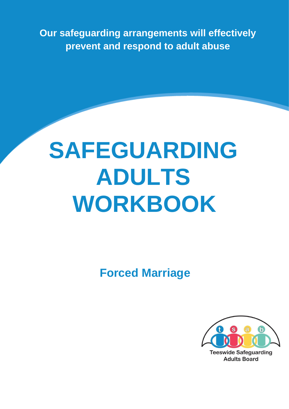**Our safeguarding arrangements will effectively prevent and respond to adult abuse** 

# **SAFEGUARDING ADULTS WORKBOOK**

**Forced Marriage** 



**Adults Board**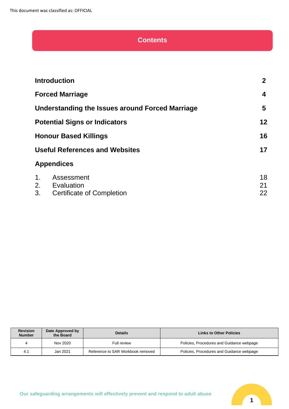# **Contents**

|    | <b>Introduction</b>                             | 2 <sup>1</sup> |
|----|-------------------------------------------------|----------------|
|    | <b>Forced Marriage</b>                          | 4              |
|    | Understanding the Issues around Forced Marriage | 5              |
|    | <b>Potential Signs or Indicators</b>            | 12             |
|    | <b>Honour Based Killings</b>                    | 16             |
|    | <b>Useful References and Websites</b>           | 17             |
|    | <b>Appendices</b>                               |                |
| 1. | Assessment                                      | 18             |
|    | 2. Evaluation                                   | 21             |
| 3. | <b>Certificate of Completion</b>                | 22             |

| <b>Revision</b><br><b>Number</b> | Date Approved by<br>the Board | <b>Details</b>                    | <b>Links to Other Policies</b>            |
|----------------------------------|-------------------------------|-----------------------------------|-------------------------------------------|
| 4                                | Nov 2020                      | Full review                       | Policies, Procedures and Guidance webpage |
| 4.1                              | Jan 2021                      | Reference to SAR Workbook removed | Policies, Procedures and Guidance webpage |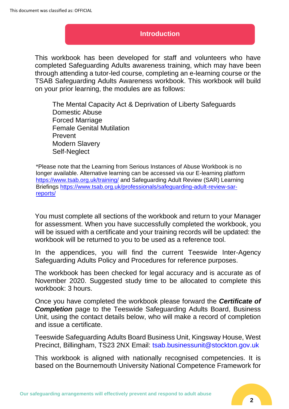## **Introduction**

This workbook has been developed for staff and volunteers who have completed Safeguarding Adults awareness training, which may have been through attending a tutor-led course, completing an e-learning course or the TSAB Safeguarding Adults Awareness workbook. This workbook will build on your prior learning, the modules are as follows:

The Mental Capacity Act & Deprivation of Liberty Safeguards Domestic Abuse Forced Marriage Female Genital Mutilation Prevent Modern Slavery Self-Neglect

\*Please note that the Learning from Serious Instances of Abuse Workbook is no longer available. Alternative learning can be accessed via our E-learning platform <https://www.tsab.org.uk/training/> and Safeguarding Adult Review (SAR) Learning Briefings [https://www.tsab.org.uk/professionals/safeguarding-adult-review-sar](https://www.tsab.org.uk/professionals/safeguarding-adult-review-sar-reports/)[reports/](https://www.tsab.org.uk/professionals/safeguarding-adult-review-sar-reports/)

You must complete all sections of the workbook and return to your Manager for assessment. When you have successfully completed the workbook, you will be issued with a certificate and your training records will be updated: the workbook will be returned to you to be used as a reference tool.

In the appendices, you will find the current Teeswide Inter-Agency Safeguarding Adults Policy and Procedures for reference purposes.

The workbook has been checked for legal accuracy and is accurate as of November 2020. Suggested study time to be allocated to complete this workbook: 3 hours.

Once you have completed the workbook please forward the *Certificate of*  **Completion** page to the Teeswide Safeguarding Adults Board, Business Unit, using the contact details below, who will make a record of completion and issue a certificate.

Teeswide Safeguarding Adults Board Business Unit, Kingsway House, West Precinct, Billingham, TS23 2NX Email: tsab.businessunit@stockton.gov.uk

This workbook is aligned with nationally recognised competencies. It is based on the Bournemouth University National Competence Framework for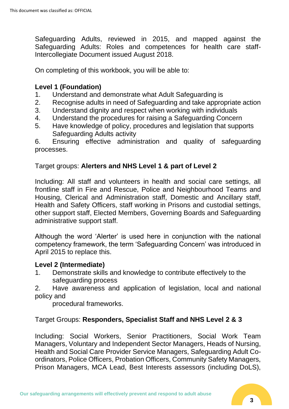Safeguarding Adults, reviewed in 2015, and mapped against the Safeguarding Adults: Roles and competences for health care staff-Intercollegiate Document issued August 2018.

On completing of this workbook, you will be able to:

# **Level 1 (Foundation)**

- 1. Understand and demonstrate what Adult Safeguarding is
- 2. Recognise adults in need of Safeguarding and take appropriate action
- 3. Understand dignity and respect when working with individuals
- 4. Understand the procedures for raising a Safeguarding Concern
- 5. Have knowledge of policy, procedures and legislation that supports Safeguarding Adults activity

6. Ensuring effective administration and quality of safeguarding processes.

# Target groups: **Alerters and NHS Level 1 & part of Level 2**

Including: All staff and volunteers in health and social care settings, all frontline staff in Fire and Rescue, Police and Neighbourhood Teams and Housing, Clerical and Administration staff, Domestic and Ancillary staff, Health and Safety Officers, staff working in Prisons and custodial settings, other support staff, Elected Members, Governing Boards and Safeguarding administrative support staff.

Although the word 'Alerter' is used here in conjunction with the national competency framework, the term 'Safeguarding Concern' was introduced in April 2015 to replace this.

# **Level 2 (Intermediate)**

1. Demonstrate skills and knowledge to contribute effectively to the safeguarding process

2. Have awareness and application of legislation, local and national policy and

procedural frameworks.

Target Groups: **Responders, Specialist Staff and NHS Level 2 & 3**

Including: Social Workers, Senior Practitioners, Social Work Team Managers, Voluntary and Independent Sector Managers, Heads of Nursing, Health and Social Care Provider Service Managers, Safeguarding Adult Coordinators, Police Officers, Probation Officers, Community Safety Managers, Prison Managers, MCA Lead, Best Interests assessors (including DoLS),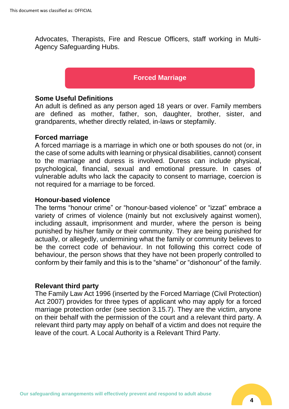Advocates, Therapists, Fire and Rescue Officers, staff working in Multi-Agency Safeguarding Hubs.

# **Forced Marriage**

# **Some Useful Definitions**

An adult is defined as any person aged 18 years or over. Family members are defined as mother, father, son, daughter, brother, sister, and grandparents, whether directly related, in-laws or stepfamily.

#### **Forced marriage**

A forced marriage is a marriage in which one or both spouses do not (or, in the case of some adults with learning or physical disabilities, cannot) consent to the marriage and duress is involved. Duress can include physical, psychological, financial, sexual and emotional pressure. In cases of vulnerable adults who lack the capacity to consent to marriage, coercion is not required for a marriage to be forced.

## **Honour-based violence**

The terms "honour crime" or "honour-based violence" or "izzat" embrace a variety of crimes of violence (mainly but not exclusively against women), including assault, imprisonment and murder, where the person is being punished by his/her family or their community. They are being punished for actually, or allegedly, undermining what the family or community believes to be the correct code of behaviour. In not following this correct code of behaviour, the person shows that they have not been properly controlled to conform by their family and this is to the "shame" or "dishonour" of the family.

#### **Relevant third party**

The Family Law Act 1996 (inserted by the Forced Marriage (Civil Protection) Act 2007) provides for three types of applicant who may apply for a forced marriage protection order (see section 3.15.7). They are the victim, anyone on their behalf with the permission of the court and a relevant third party. A relevant third party may apply on behalf of a victim and does not require the leave of the court. A Local Authority is a Relevant Third Party.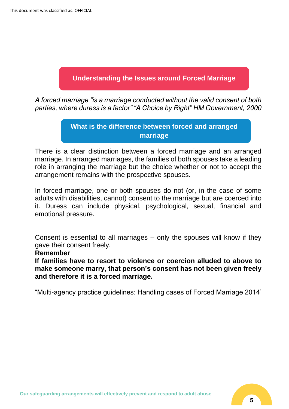# **Understanding the Issues around Forced Marriage**

*A forced marriage "is a marriage conducted without the valid consent of both parties, where duress is a factor" "A Choice by Right" HM Government, 2000*

# **What is the difference between forced and arranged marriage**

There is a clear distinction between a forced marriage and an arranged marriage. In arranged marriages, the families of both spouses take a leading role in arranging the marriage but the choice whether or not to accept the arrangement remains with the prospective spouses.

In forced marriage, one or both spouses do not (or, in the case of some adults with disabilities, cannot) consent to the marriage but are coerced into it. Duress can include physical, psychological, sexual, financial and emotional pressure.

Consent is essential to all marriages – only the spouses will know if they gave their consent freely.

#### **Remember**

**If families have to resort to violence or coercion alluded to above to make someone marry, that person's consent has not been given freely and therefore it is a forced marriage.**

"Multi-agency practice guidelines: Handling cases of Forced Marriage 2014'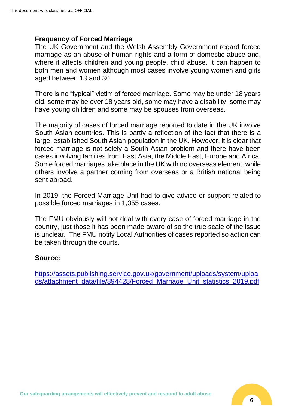# **Frequency of Forced Marriage**

The UK Government and the Welsh Assembly Government regard forced marriage as an abuse of human rights and a form of domestic abuse and, where it affects children and young people, child abuse. It can happen to both men and women although most cases involve young women and girls aged between 13 and 30.

There is no "typical" victim of forced marriage. Some may be under 18 years old, some may be over 18 years old, some may have a disability, some may have young children and some may be spouses from overseas.

The majority of cases of forced marriage reported to date in the UK involve South Asian countries. This is partly a reflection of the fact that there is a large, established South Asian population in the UK. However, it is clear that forced marriage is not solely a South Asian problem and there have been cases involving families from East Asia, the Middle East, Europe and Africa. Some forced marriages take place in the UK with no overseas element, while others involve a partner coming from overseas or a British national being sent abroad.

In 2019, the Forced Marriage Unit had to give advice or support related to possible forced marriages in 1,355 cases.

The FMU obviously will not deal with every case of forced marriage in the country, just those it has been made aware of so the true scale of the issue is unclear. The FMU notify Local Authorities of cases reported so action can be taken through the courts.

# **Source:**

[https://assets.publishing.service.gov.uk/government/uploads/system/uploa](https://assets.publishing.service.gov.uk/government/uploads/system/uploads/attachment_data/file/894428/Forced_Marriage_Unit_statistics_2019.pdf) [ds/attachment\\_data/file/894428/Forced\\_Marriage\\_Unit\\_statistics\\_2019.pdf](https://assets.publishing.service.gov.uk/government/uploads/system/uploads/attachment_data/file/894428/Forced_Marriage_Unit_statistics_2019.pdf)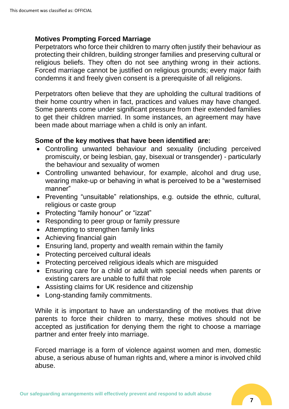# **Motives Prompting Forced Marriage**

Perpetrators who force their children to marry often justify their behaviour as protecting their children, building stronger families and preserving cultural or religious beliefs. They often do not see anything wrong in their actions. Forced marriage cannot be justified on religious grounds; every major faith condemns it and freely given consent is a prerequisite of all religions.

Perpetrators often believe that they are upholding the cultural traditions of their home country when in fact, practices and values may have changed. Some parents come under significant pressure from their extended families to get their children married. In some instances, an agreement may have been made about marriage when a child is only an infant.

# **Some of the key motives that have been identified are:**

- Controlling unwanted behaviour and sexuality (including perceived promiscuity, or being lesbian, gay, bisexual or transgender) - particularly the behaviour and sexuality of women
- Controlling unwanted behaviour, for example, alcohol and drug use, wearing make-up or behaving in what is perceived to be a "westernised manner"
- Preventing "unsuitable" relationships, e.g. outside the ethnic, cultural, religious or caste group
- Protecting "family honour" or "izzat"
- Responding to peer group or family pressure
- Attempting to strengthen family links
- Achieving financial gain
- Ensuring land, property and wealth remain within the family
- Protecting perceived cultural ideals
- Protecting perceived religious ideals which are misguided
- Ensuring care for a child or adult with special needs when parents or existing carers are unable to fulfil that role
- Assisting claims for UK residence and citizenship
- Long-standing family commitments.

While it is important to have an understanding of the motives that drive parents to force their children to marry, these motives should not be accepted as justification for denying them the right to choose a marriage partner and enter freely into marriage.

Forced marriage is a form of violence against women and men, domestic abuse, a serious abuse of human rights and, where a minor is involved child abuse.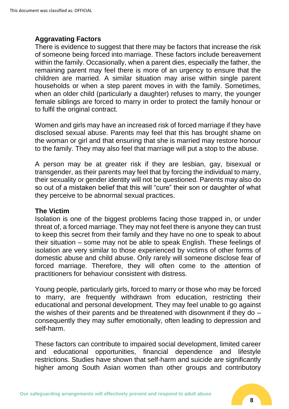# **Aggravating Factors**

There is evidence to suggest that there may be factors that increase the risk of someone being forced into marriage. These factors include bereavement within the family. Occasionally, when a parent dies, especially the father, the remaining parent may feel there is more of an urgency to ensure that the children are married. A similar situation may arise within single parent households or when a step parent moves in with the family. Sometimes, when an older child (particularly a daughter) refuses to marry, the younger female siblings are forced to marry in order to protect the family honour or to fulfil the original contract.

Women and girls may have an increased risk of forced marriage if they have disclosed sexual abuse. Parents may feel that this has brought shame on the woman or girl and that ensuring that she is married may restore honour to the family. They may also feel that marriage will put a stop to the abuse.

A person may be at greater risk if they are lesbian, gay, bisexual or transgender, as their parents may feel that by forcing the individual to marry, their sexuality or gender identity will not be questioned. Parents may also do so out of a mistaken belief that this will "cure" their son or daughter of what they perceive to be abnormal sexual practices.

# **The Victim**

Isolation is one of the biggest problems facing those trapped in, or under threat of, a forced marriage. They may not feel there is anyone they can trust to keep this secret from their family and they have no one to speak to about their situation – some may not be able to speak English. These feelings of isolation are very similar to those experienced by victims of other forms of domestic abuse and child abuse. Only rarely will someone disclose fear of forced marriage. Therefore, they will often come to the attention of practitioners for behaviour consistent with distress.

Young people, particularly girls, forced to marry or those who may be forced to marry, are frequently withdrawn from education, restricting their educational and personal development. They may feel unable to go against the wishes of their parents and be threatened with disownment if they do – consequently they may suffer emotionally, often leading to depression and self-harm.

These factors can contribute to impaired social development, limited career and educational opportunities, financial dependence and lifestyle restrictions. Studies have shown that self-harm and suicide are significantly higher among South Asian women than other groups and contributory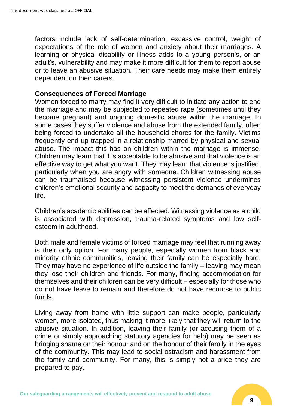factors include lack of self-determination, excessive control, weight of expectations of the role of women and anxiety about their marriages. A learning or physical disability or illness adds to a young person's, or an adult's, vulnerability and may make it more difficult for them to report abuse or to leave an abusive situation. Their care needs may make them entirely dependent on their carers.

# **Consequences of Forced Marriage**

Women forced to marry may find it very difficult to initiate any action to end the marriage and may be subjected to repeated rape (sometimes until they become pregnant) and ongoing domestic abuse within the marriage. In some cases they suffer violence and abuse from the extended family, often being forced to undertake all the household chores for the family. Victims frequently end up trapped in a relationship marred by physical and sexual abuse. The impact this has on children within the marriage is immense. Children may learn that it is acceptable to be abusive and that violence is an effective way to get what you want. They may learn that violence is justified, particularly when you are angry with someone. Children witnessing abuse can be traumatised because witnessing persistent violence undermines children's emotional security and capacity to meet the demands of everyday life.

Children's academic abilities can be affected. Witnessing violence as a child is associated with depression, trauma-related symptoms and low selfesteem in adulthood.

Both male and female victims of forced marriage may feel that running away is their only option. For many people, especially women from black and minority ethnic communities, leaving their family can be especially hard. They may have no experience of life outside the family – leaving may mean they lose their children and friends. For many, finding accommodation for themselves and their children can be very difficult – especially for those who do not have leave to remain and therefore do not have recourse to public funds.

Living away from home with little support can make people, particularly women, more isolated, thus making it more likely that they will return to the abusive situation. In addition, leaving their family (or accusing them of a crime or simply approaching statutory agencies for help) may be seen as bringing shame on their honour and on the honour of their family in the eyes of the community. This may lead to social ostracism and harassment from the family and community. For many, this is simply not a price they are prepared to pay.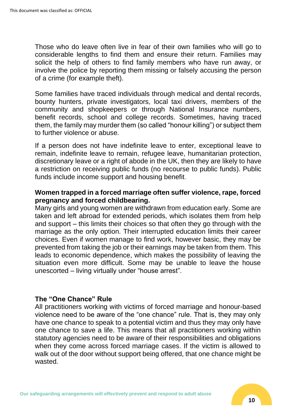Those who do leave often live in fear of their own families who will go to considerable lengths to find them and ensure their return. Families may solicit the help of others to find family members who have run away, or involve the police by reporting them missing or falsely accusing the person of a crime (for example theft).

Some families have traced individuals through medical and dental records, bounty hunters, private investigators, local taxi drivers, members of the community and shopkeepers or through National Insurance numbers, benefit records, school and college records. Sometimes, having traced them, the family may murder them (so called "honour killing") or subject them to further violence or abuse.

If a person does not have indefinite leave to enter, exceptional leave to remain, indefinite leave to remain, refugee leave, humanitarian protection, discretionary leave or a right of abode in the UK, then they are likely to have a restriction on receiving public funds (no recourse to public funds). Public funds include income support and housing benefit.

# **Women trapped in a forced marriage often suffer violence, rape, forced pregnancy and forced childbearing.**

Many girls and young women are withdrawn from education early. Some are taken and left abroad for extended periods, which isolates them from help and support – this limits their choices so that often they go through with the marriage as the only option. Their interrupted education limits their career choices. Even if women manage to find work, however basic, they may be prevented from taking the job or their earnings may be taken from them. This leads to economic dependence, which makes the possibility of leaving the situation even more difficult. Some may be unable to leave the house unescorted – living virtually under "house arrest".

# **The "One Chance" Rule**

All practitioners working with victims of forced marriage and honour-based violence need to be aware of the "one chance" rule. That is, they may only have one chance to speak to a potential victim and thus they may only have one chance to save a life. This means that all practitioners working within statutory agencies need to be aware of their responsibilities and obligations when they come across forced marriage cases. If the victim is allowed to walk out of the door without support being offered, that one chance might be wasted.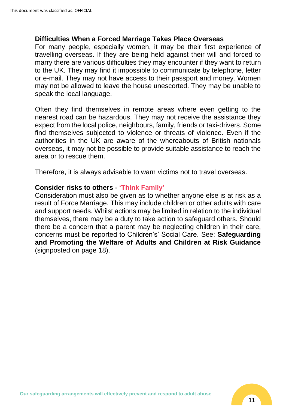## **Difficulties When a Forced Marriage Takes Place Overseas**

For many people, especially women, it may be their first experience of travelling overseas. If they are being held against their will and forced to marry there are various difficulties they may encounter if they want to return to the UK. They may find it impossible to communicate by telephone, letter or e-mail. They may not have access to their passport and money. Women may not be allowed to leave the house unescorted. They may be unable to speak the local language.

Often they find themselves in remote areas where even getting to the nearest road can be hazardous. They may not receive the assistance they expect from the local police, neighbours, family, friends or taxi-drivers. Some find themselves subjected to violence or threats of violence. Even if the authorities in the UK are aware of the whereabouts of British nationals overseas, it may not be possible to provide suitable assistance to reach the area or to rescue them.

Therefore, it is always advisable to warn victims not to travel overseas.

# **Consider risks to others - 'Think Family'**

Consideration must also be given as to whether anyone else is at risk as a result of Force Marriage. This may include children or other adults with care and support needs. Whilst actions may be limited in relation to the individual themselves, there may be a duty to take action to safeguard others. Should there be a concern that a parent may be neglecting children in their care, concerns must be reported to Children's' Social Care. See: **Safeguarding and Promoting the Welfare of Adults and Children at Risk Guidance**  (signposted on page 18).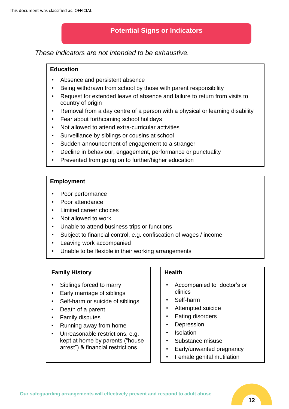# **Potential Signs or Indicators**

*These indicators are not intended to be exhaustive.*

#### **Education**

- Absence and persistent absence
- Being withdrawn from school by those with parent responsibility
- Request for extended leave of absence and failure to return from visits to country of origin
- Removal from a day centre of a person with a physical or learning disability
- Fear about forthcoming school holidays
- Not allowed to attend extra-curricular activities
- Surveillance by siblings or cousins at school
- Sudden announcement of engagement to a stranger
- Decline in behaviour, engagement, performance or punctuality
- Prevented from going on to further/higher education

#### **Employment**

- Poor performance
- Poor attendance
- Limited career choices
- Not allowed to work
- Unable to attend business trips or functions
- Subject to financial control, e.g. confiscation of wages / income
- Leaving work accompanied
- Unable to be flexible in their working arrangements

#### **Family History**

İ

- Siblings forced to marry
- Early marriage of siblings
- Self-harm or suicide of siblings
- Death of a parent
- Family disputes
- Running away from home
- Unreasonable restrictions, e.g. kept at home by parents ("house arrest") & financial restrictions

#### **Health**

- Accompanied to doctor's or clinics
- Self-harm
- Attempted suicide
- Eating disorders
- Depression
- **Isolation**
- Substance misuse
- Early/unwanted pregnancy
- Female genital mutilation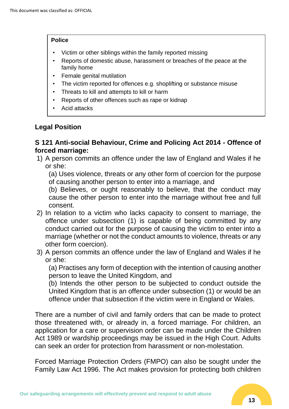#### **Police**

- Victim or other siblings within the family reported missing
- Reports of domestic abuse, harassment or breaches of the peace at the family home
- Female genital mutilation
- The victim reported for offences e.g. shoplifting or substance misuse
- Threats to kill and attempts to kill or harm
- Reports of other offences such as rape or kidnap
- Acid attacks

# **Legal Position**

# **S 121 Anti-social Behaviour, Crime and Policing Act 2014 - Offence of forced marriage:**

1) A person commits an offence under the law of England and Wales if he or she:

(a) Uses violence, threats or any other form of coercion for the purpose of causing another person to enter into a marriage, and

(b) Believes, or ought reasonably to believe, that the conduct may cause the other person to enter into the marriage without free and full consent.

- 2) In relation to a victim who lacks capacity to consent to marriage, the offence under subsection (1) is capable of being committed by any conduct carried out for the purpose of causing the victim to enter into a marriage (whether or not the conduct amounts to violence, threats or any other form coercion).
- 3) A person commits an offence under the law of England and Wales if he or she:

(a) Practises any form of deception with the intention of causing another person to leave the United Kingdom, and

(b) Intends the other person to be subjected to conduct outside the United Kingdom that is an offence under subsection (1) or would be an offence under that subsection if the victim were in England or Wales.

There are a number of civil and family orders that can be made to protect those threatened with, or already in, a forced marriage. For children, an application for a care or supervision order can be made under the Children Act 1989 or wardship proceedings may be issued in the High Court. Adults can seek an order for protection from harassment or non-molestation.

Forced Marriage Protection Orders (FMPO) can also be sought under the Family Law Act 1996. The Act makes provision for protecting both children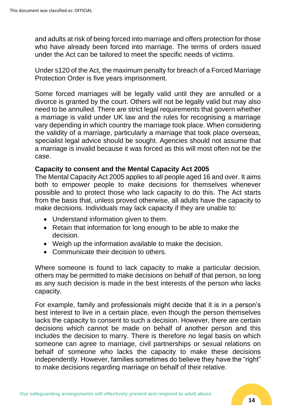and adults at risk of being forced into marriage and offers protection for those who have already been forced into marriage. The terms of orders issued under the Act can be tailored to meet the specific needs of victims.

Under s120 of the Act, the maximum penalty for breach of a Forced Marriage Protection Order is five years imprisonment.

Some forced marriages will be legally valid until they are annulled or a divorce is granted by the court. Others will not be legally valid but may also need to be annulled. There are strict legal requirements that govern whether a marriage is valid under UK law and the rules for recognising a marriage vary depending in which country the marriage took place. When considering the validity of a marriage, particularly a marriage that took place overseas, specialist legal advice should be sought. Agencies should not assume that a marriage is invalid because it was forced as this will most often not be the case.

# **Capacity to consent and the Mental Capacity Act 2005**

The Mental Capacity Act 2005 applies to all people aged 16 and over. It aims both to empower people to make decisions for themselves whenever possible and to protect those who lack capacity to do this. The Act starts from the basis that, unless proved otherwise, all adults have the capacity to make decisions. Individuals may lack capacity if they are unable to:

- Understand information given to them.
- Retain that information for long enough to be able to make the decision.
- Weigh up the information available to make the decision.
- Communicate their decision to others.

Where someone is found to lack capacity to make a particular decision, others may be permitted to make decisions on behalf of that person, so long as any such decision is made in the best interests of the person who lacks capacity.

For example, family and professionals might decide that it is in a person's best interest to live in a certain place, even though the person themselves lacks the capacity to consent to such a decision. However, there are certain decisions which cannot be made on behalf of another person and this includes the decision to marry. There is therefore no legal basis on which someone can agree to marriage, civil partnerships or sexual relations on behalf of someone who lacks the capacity to make these decisions independently. However, families sometimes do believe they have the "right" to make decisions regarding marriage on behalf of their relative.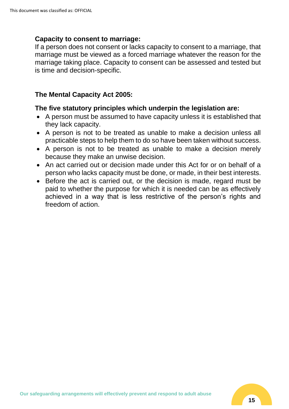# **Capacity to consent to marriage:**

If a person does not consent or lacks capacity to consent to a marriage, that marriage must be viewed as a forced marriage whatever the reason for the marriage taking place. Capacity to consent can be assessed and tested but is time and decision-specific.

# **The Mental Capacity Act 2005:**

# **The five statutory principles which underpin the legislation are:**

- A person must be assumed to have capacity unless it is established that they lack capacity.
- A person is not to be treated as unable to make a decision unless all practicable steps to help them to do so have been taken without success.
- A person is not to be treated as unable to make a decision merely because they make an unwise decision.
- An act carried out or decision made under this Act for or on behalf of a person who lacks capacity must be done, or made, in their best interests.
- Before the act is carried out, or the decision is made, regard must be paid to whether the purpose for which it is needed can be as effectively achieved in a way that is less restrictive of the person's rights and freedom of action.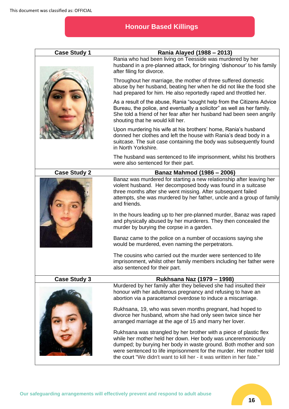# **Honour Based Killings**

| <b>Case Study 1</b> | Rania Alayed (1988 – 2013)                                                                                                                                                                                                                                                                                                                            |
|---------------------|-------------------------------------------------------------------------------------------------------------------------------------------------------------------------------------------------------------------------------------------------------------------------------------------------------------------------------------------------------|
|                     | Rania who had been living on Teesside was murdered by her<br>husband in a pre-planned attack, for bringing 'dishonour' to his family<br>after filing for divorce.                                                                                                                                                                                     |
|                     | Throughout her marriage, the mother of three suffered domestic<br>abuse by her husband, beating her when he did not like the food she<br>had prepared for him. He also reportedly raped and throttled her.                                                                                                                                            |
|                     | As a result of the abuse, Rania "sought help from the Citizens Advice<br>Bureau, the police, and eventually a solicitor" as well as her family.<br>She told a friend of her fear after her husband had been seen angrily<br>shouting that he would kill her.                                                                                          |
|                     | Upon murdering his wife at his brothers' home, Rania's husband<br>donned her clothes and left the house with Rania's dead body in a<br>suitcase. The suit case containing the body was subsequently found<br>in North Yorkshire.                                                                                                                      |
|                     | The husband was sentenced to life imprisonment, whilst his brothers<br>were also sentenced for their part.                                                                                                                                                                                                                                            |
| <b>Case Study 2</b> | Banaz Mahmod (1986 – 2006)                                                                                                                                                                                                                                                                                                                            |
|                     | Banaz was murdered for starting a new relationship after leaving her<br>violent husband. Her decomposed body was found in a suitcase<br>three months after she went missing. After subsequent failed<br>attempts, she was murdered by her father, uncle and a group of family<br>and friends.                                                         |
|                     | In the hours leading up to her pre-planned murder, Banaz was raped<br>and physically abused by her murderers. They then concealed the<br>murder by burying the corpse in a garden.                                                                                                                                                                    |
|                     | Banaz came to the police on a number of occasions saying she<br>would be murdered, even naming the perpetrators.                                                                                                                                                                                                                                      |
|                     | The cousins who carried out the murder were sentenced to life<br>imprisonment, whilst other family members including her father were<br>also sentenced for their part.                                                                                                                                                                                |
| <b>Case Study 3</b> | Rukhsana Naz (1979 – 1998)                                                                                                                                                                                                                                                                                                                            |
|                     | Murdered by her family after they believed she had insulted their<br>honour with her adulterous pregnancy and refusing to have an<br>abortion via a paracetamol overdose to induce a miscarriage.                                                                                                                                                     |
|                     | Rukhsana, 19, who was seven months pregnant, had hoped to<br>divorce her husband, whom she had only seen twice since her<br>arranged marriage at the age of 15 and marry her lover.                                                                                                                                                                   |
|                     | Rukhsana was strangled by her brother with a piece of plastic flex<br>while her mother held her down. Her body was unceremoniously<br>dumped; by burying her body in waste ground. Both mother and son<br>were sentenced to life imprisonment for the murder. Her mother told<br>the court "We didn't want to kill her - it was written in her fate." |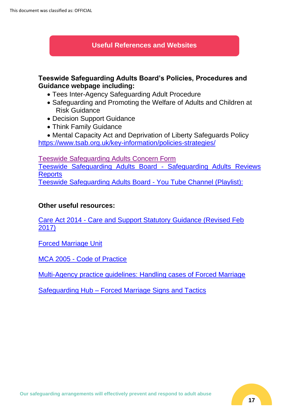# **Useful References and Websites**

# **Teeswide Safeguarding Adults Board's Policies, Procedures and Guidance webpage including:**

- Tees Inter-Agency Safeguarding Adult Procedure
- Safeguarding and Promoting the Welfare of Adults and Children at Risk Guidance
- Decision Support Guidance
- Think Family Guidance
- Mental Capacity Act and Deprivation of Liberty Safeguards Policy <https://www.tsab.org.uk/key-information/policies-strategies/>

[Teeswide Safeguarding Adults Concern Form](https://www.tsab.org.uk/report-abuse/) [Teeswide Safeguarding Adults Board -](https://www.tsab.org.uk/key-information/safeguarding-adult-review-sar-reports/) Safeguarding Adults Reviews **[Reports](https://www.tsab.org.uk/key-information/safeguarding-adult-review-sar-reports/)** [Teeswide Safeguarding Adults Board -](https://www.youtube.com/channel/UCMxNFNZsoxIc3YZEVXisx_w) You Tube Channel (Playlist):

# **Other useful resources:**

Care Act 2014 - [Care and Support Statutory Guidance \(Revised Feb](https://www.tsab.org.uk/wp-content/uploads/2015/11/Revised-Care-Act-Guidance-Annotated-Chapter-14-20160311.pdf)  [2017\)](https://www.tsab.org.uk/wp-content/uploads/2015/11/Revised-Care-Act-Guidance-Annotated-Chapter-14-20160311.pdf)

[Forced Marriage Unit](https://www.gov.uk/stop-forced-marriage)

MCA 2005 - [Code of Practice](https://www.gov.uk/government/publications/mental-capacity-act-code-of-practice)

[Multi-Agency practice guidelines: Handling cases of Forced Marriage](https://www.gov.uk/government/uploads/system/uploads/attachment_data/file/322307/HMG_MULTI_AGENCY_PRACTICE_GUIDELINES_v1_180614_FINAL.pdf)

Safeguarding Hub – [Forced Marriage Signs and Tactics](https://safeguardinghub.co.uk/forced-marriage-signs-and-tactics/)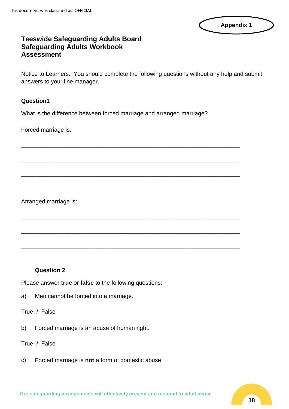

# **Teeswide Safeguarding Adults Board Safeguarding Adults Workbook Assessment**

Notice to Learners: You should complete the following questions without any help and submit answers to your line manager.

#### **Question1**

What is the difference between forced marriage and arranged marriage?

\_\_\_\_\_\_\_\_\_\_\_\_\_\_\_\_\_\_\_\_\_\_\_\_\_\_\_\_\_\_\_\_\_\_\_\_\_\_\_\_\_\_\_\_\_\_\_\_\_\_\_\_\_\_\_\_\_\_\_\_\_\_\_\_\_\_\_\_\_\_\_\_\_\_\_\_\_\_\_\_\_\_\_\_\_\_\_\_\_\_

\_\_\_\_\_\_\_\_\_\_\_\_\_\_\_\_\_\_\_\_\_\_\_\_\_\_\_\_\_\_\_\_\_\_\_\_\_\_\_\_\_\_\_\_\_\_\_\_\_\_\_\_\_\_\_\_\_\_\_\_\_\_\_\_\_\_\_\_\_\_\_\_\_\_\_\_\_\_\_\_\_\_\_\_\_\_\_\_\_\_

\_\_\_\_\_\_\_\_\_\_\_\_\_\_\_\_\_\_\_\_\_\_\_\_\_\_\_\_\_\_\_\_\_\_\_\_\_\_\_\_\_\_\_\_\_\_\_\_\_\_\_\_\_\_\_\_\_\_\_\_\_\_\_\_\_\_\_\_\_\_\_\_\_\_\_\_\_\_\_\_\_\_\_\_\_\_\_\_\_\_

\_\_\_\_\_\_\_\_\_\_\_\_\_\_\_\_\_\_\_\_\_\_\_\_\_\_\_\_\_\_\_\_\_\_\_\_\_\_\_\_\_\_\_\_\_\_\_\_\_\_\_\_\_\_\_\_\_\_\_\_\_\_\_\_\_\_\_\_\_\_\_\_\_\_\_\_\_\_\_\_\_\_\_\_\_\_\_\_\_\_

\_\_\_\_\_\_\_\_\_\_\_\_\_\_\_\_\_\_\_\_\_\_\_\_\_\_\_\_\_\_\_\_\_\_\_\_\_\_\_\_\_\_\_\_\_\_\_\_\_\_\_\_\_\_\_\_\_\_\_\_\_\_\_\_\_\_\_\_\_\_\_\_\_\_\_\_\_\_\_\_\_\_\_\_\_\_\_\_\_\_

\_\_\_\_\_\_\_\_\_\_\_\_\_\_\_\_\_\_\_\_\_\_\_\_\_\_\_\_\_\_\_\_\_\_\_\_\_\_\_\_\_\_\_\_\_\_\_\_\_\_\_\_\_\_\_\_\_\_\_\_\_\_\_\_\_\_\_\_\_\_\_\_\_\_\_\_\_\_\_\_\_\_\_\_\_\_\_\_\_\_

Forced marriage is:

Arranged marriage is:

#### **Question 2**

Please answer **true** or **false** to the following questions:

a) Men cannot be forced into a marriage.

#### True / False

b) Forced marriage is an abuse of human right.

#### True / False

c) Forced marriage is **not** a form of domestic abuse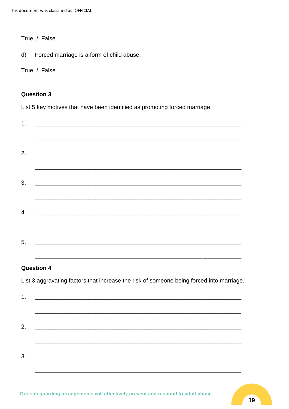This document was classified as: OFFICIAL

True / False

Forced marriage is a form of child abuse.  $\mathsf{d}$ 

True / False

#### **Question 3**

List 5 key motives that have been identified as promoting forced marriage.

| 1. |  |  |  |
|----|--|--|--|
|    |  |  |  |
|    |  |  |  |
| 2. |  |  |  |
|    |  |  |  |
|    |  |  |  |
| 3. |  |  |  |
|    |  |  |  |
|    |  |  |  |
| 4. |  |  |  |
|    |  |  |  |
|    |  |  |  |
| 5. |  |  |  |
|    |  |  |  |

# **Question 4**

List 3 aggravating factors that increase the risk of someone being forced into marriage.

| 1. |  |  |
|----|--|--|
|    |  |  |
|    |  |  |
| 2. |  |  |
|    |  |  |
|    |  |  |
| 3. |  |  |
|    |  |  |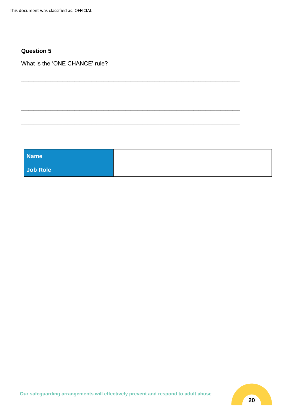#### **Question 5**

What is the 'ONE CHANCE' rule?

| <b>Name</b> |  |
|-------------|--|
| Job Role    |  |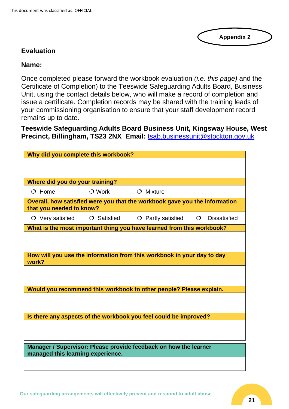**Appendix 2**

# **Evaluation**

# **Name:**

Once completed please forward the workbook evaluation *(i.e. this page)* and the Certificate of Completion) to the Teeswide Safeguarding Adults Board, Business Unit, using the contact details below, who will make a record of completion and issue a certificate. Completion records may be shared with the training leads of your commissioning organisation to ensure that your staff development record remains up to date.

**Teeswide Safeguarding Adults Board Business Unit, Kingsway House, West Precinct, Billingham, TS23 2NX Email:** [tsab.businessunit@stockton.gov.uk](mailto:tsab.businessunit@stockton.gov.uk)

| Why did you complete this workbook? |                   |                                                                            |         |                     |
|-------------------------------------|-------------------|----------------------------------------------------------------------------|---------|---------------------|
|                                     |                   |                                                                            |         |                     |
|                                     |                   |                                                                            |         |                     |
| Where did you do your training?     |                   |                                                                            |         |                     |
| $O$ Home                            | $\bigcirc$ Work   | $O$ Mixture                                                                |         |                     |
| that you needed to know?            |                   | Overall, how satisfied were you that the workbook gave you the information |         |                     |
| $\circlearrowright$ Very satisfied  | $\circ$ Satisfied | $\circ$ Partly satisfied                                                   | $\circ$ | <b>Dissatisfied</b> |
|                                     |                   | What is the most important thing you have learned from this workbook?      |         |                     |
|                                     |                   |                                                                            |         |                     |
|                                     |                   |                                                                            |         |                     |
| work?                               |                   | How will you use the information from this workbook in your day to day     |         |                     |
|                                     |                   |                                                                            |         |                     |
|                                     |                   |                                                                            |         |                     |
|                                     |                   | Would you recommend this workbook to other people? Please explain.         |         |                     |
|                                     |                   |                                                                            |         |                     |
|                                     |                   |                                                                            |         |                     |
|                                     |                   | Is there any aspects of the workbook you feel could be improved?           |         |                     |
|                                     |                   |                                                                            |         |                     |
|                                     |                   |                                                                            |         |                     |
|                                     |                   | Manager / Supervisor: Please provide feedback on how the learner           |         |                     |
| managed this learning experience.   |                   |                                                                            |         |                     |
|                                     |                   |                                                                            |         |                     |